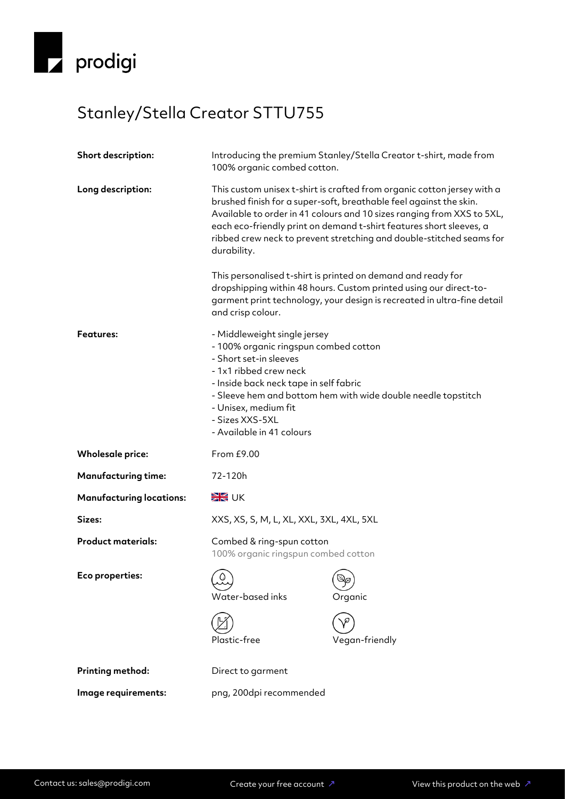

## Stanley/Stella Creator STTU755

| Short description:              | Introducing the premium Stanley/Stella Creator t-shirt, made from<br>100% organic combed cotton.                                                                                                                                                                                                             |                                                                                                                                                                                                                                                                                                                                                                        |
|---------------------------------|--------------------------------------------------------------------------------------------------------------------------------------------------------------------------------------------------------------------------------------------------------------------------------------------------------------|------------------------------------------------------------------------------------------------------------------------------------------------------------------------------------------------------------------------------------------------------------------------------------------------------------------------------------------------------------------------|
| Long description:               | durability.                                                                                                                                                                                                                                                                                                  | This custom unisex t-shirt is crafted from organic cotton jersey with a<br>brushed finish for a super-soft, breathable feel against the skin.<br>Available to order in 41 colours and 10 sizes ranging from XXS to 5XL,<br>each eco-friendly print on demand t-shirt features short sleeves, a<br>ribbed crew neck to prevent stretching and double-stitched seams for |
|                                 | and crisp colour.                                                                                                                                                                                                                                                                                            | This personalised t-shirt is printed on demand and ready for<br>dropshipping within 48 hours. Custom printed using our direct-to-<br>garment print technology, your design is recreated in ultra-fine detail                                                                                                                                                           |
| <b>Features:</b>                | - Middleweight single jersey<br>- 100% organic ringspun combed cotton<br>- Short set-in sleeves<br>- 1x1 ribbed crew neck<br>- Inside back neck tape in self fabric<br>- Sleeve hem and bottom hem with wide double needle topstitch<br>- Unisex, medium fit<br>- Sizes XXS-5XL<br>- Available in 41 colours |                                                                                                                                                                                                                                                                                                                                                                        |
| <b>Wholesale price:</b>         | From £9.00                                                                                                                                                                                                                                                                                                   |                                                                                                                                                                                                                                                                                                                                                                        |
| <b>Manufacturing time:</b>      | 72-120h                                                                                                                                                                                                                                                                                                      |                                                                                                                                                                                                                                                                                                                                                                        |
| <b>Manufacturing locations:</b> | <b>EK</b> UK                                                                                                                                                                                                                                                                                                 |                                                                                                                                                                                                                                                                                                                                                                        |
| Sizes:                          | XXS, XS, S, M, L, XL, XXL, 3XL, 4XL, 5XL                                                                                                                                                                                                                                                                     |                                                                                                                                                                                                                                                                                                                                                                        |
| <b>Product materials:</b>       | Combed & ring-spun cotton<br>100% organic ringspun combed cotton                                                                                                                                                                                                                                             |                                                                                                                                                                                                                                                                                                                                                                        |
| Eco properties:                 | $\Omega$<br>Water-based inks<br>Plastic-free                                                                                                                                                                                                                                                                 | $\bigcircled{S}_{\hspace{-1.1mm}\rho}$<br>Organic<br>Vegan-friendly                                                                                                                                                                                                                                                                                                    |
|                                 |                                                                                                                                                                                                                                                                                                              |                                                                                                                                                                                                                                                                                                                                                                        |
| <b>Printing method:</b>         | Direct to garment                                                                                                                                                                                                                                                                                            |                                                                                                                                                                                                                                                                                                                                                                        |
| Image requirements:             | png, 200dpi recommended                                                                                                                                                                                                                                                                                      |                                                                                                                                                                                                                                                                                                                                                                        |